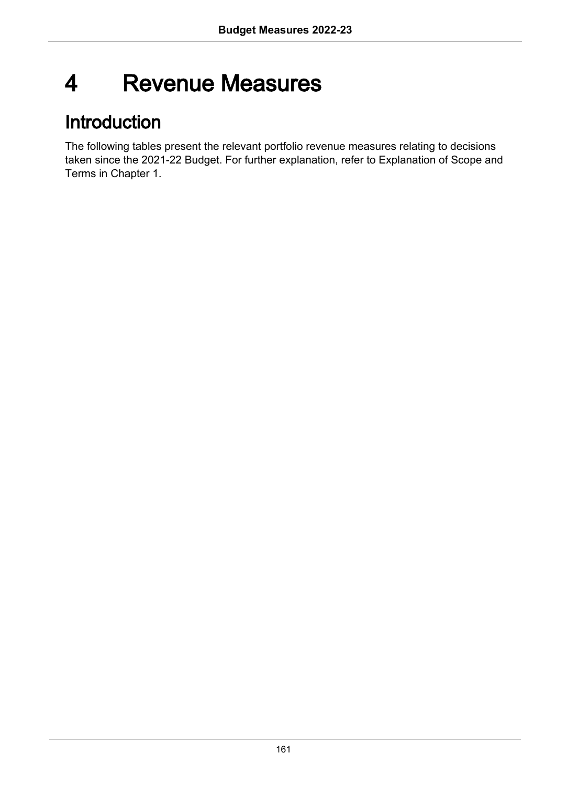# 4 Revenue Measures

# Introduction

The following tables present the relevant portfolio revenue measures relating to decisions taken since the 2021-22 Budget. For further explanation, refer to Explanation of Scope and Terms in Chapter 1.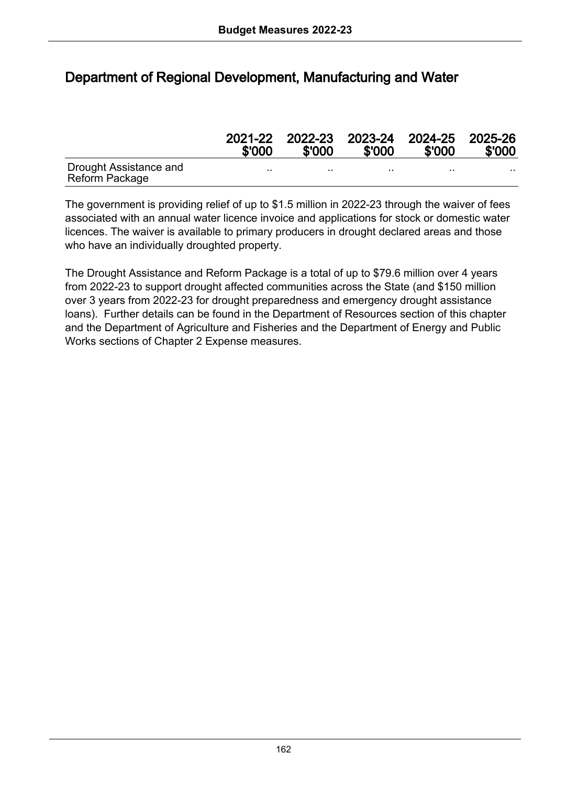## Department of Regional Development, Manufacturing and Water

|                                          | \$'000  | \$'000  | \$'000  | 2021-22 2022-23 2023-24 2024-25 2025-26<br>\$'000 | \$'000 |
|------------------------------------------|---------|---------|---------|---------------------------------------------------|--------|
| Drought Assistance and<br>Reform Package | $\cdot$ | $\cdot$ | $\cdot$ | . .                                               |        |

The government is providing relief of up to \$1.5 million in 2022-23 through the waiver of fees associated with an annual water licence invoice and applications for stock or domestic water licences. The waiver is available to primary producers in drought declared areas and those who have an individually droughted property.

The Drought Assistance and Reform Package is a total of up to \$79.6 million over 4 years from 2022-23 to support drought affected communities across the State (and \$150 million over 3 years from 2022-23 for drought preparedness and emergency drought assistance loans). Further details can be found in the Department of Resources section of this chapter and the Department of Agriculture and Fisheries and the Department of Energy and Public Works sections of Chapter 2 Expense measures.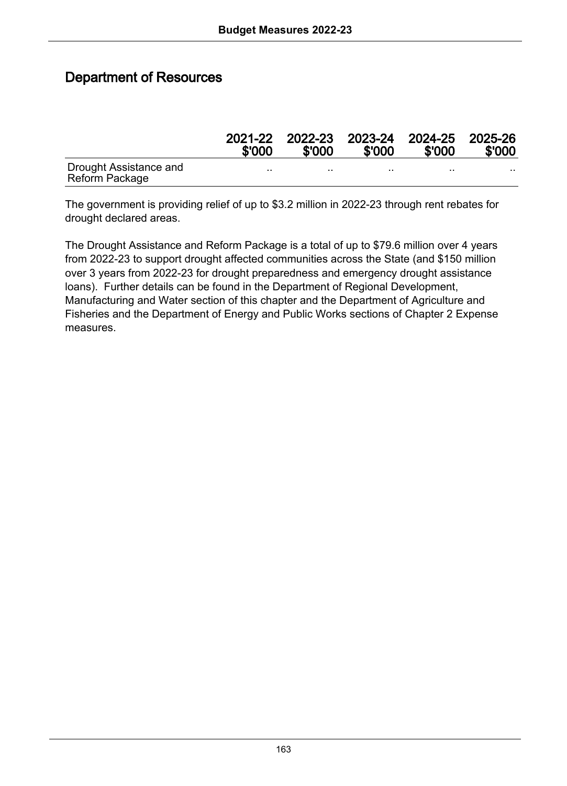#### Department of Resources

|                                          | 2021-22<br>\$'000 | \$'000 | \$'000 | 2022-23 2023-24 2024-25 2025-26<br>\$'000 | \$'000 |
|------------------------------------------|-------------------|--------|--------|-------------------------------------------|--------|
| Drought Assistance and<br>Reform Package |                   |        |        | . .                                       |        |

The government is providing relief of up to \$3.2 million in 2022-23 through rent rebates for drought declared areas.

The Drought Assistance and Reform Package is a total of up to \$79.6 million over 4 years from 2022-23 to support drought affected communities across the State (and \$150 million over 3 years from 2022-23 for drought preparedness and emergency drought assistance loans). Further details can be found in the Department of Regional Development, Manufacturing and Water section of this chapter and the Department of Agriculture and Fisheries and the Department of Energy and Public Works sections of Chapter 2 Expense measures.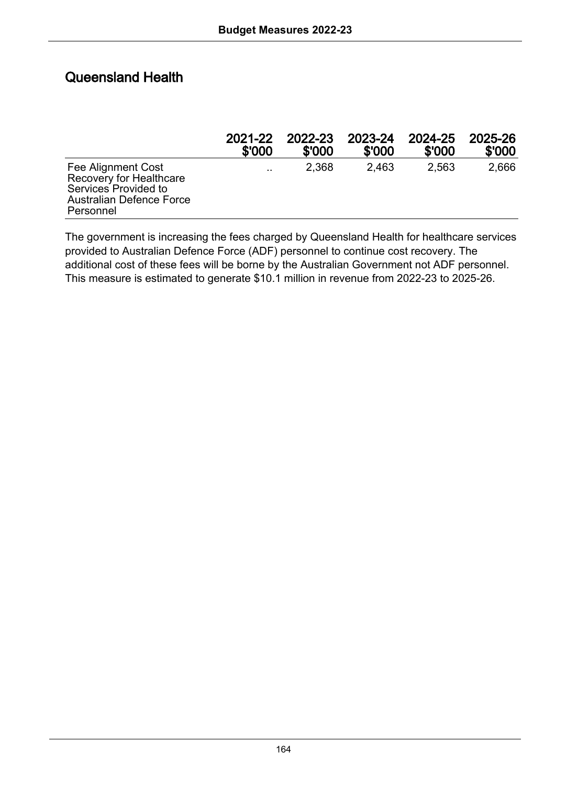## Queensland Health

|                                                                                                                | 2021-22   | 2022-23 | 2023-24 | 2024-25 | 2025-26 |
|----------------------------------------------------------------------------------------------------------------|-----------|---------|---------|---------|---------|
|                                                                                                                | \$'000    | \$'000  | \$'000  | \$'000  | \$'000  |
| Fee Alignment Cost<br>Recovery for Healthcare<br>Services Provided to<br>Australian Defence Force<br>Personnel | $\cdot$ . | 2.368   | 2.463   | 2.563   | 2.666   |

The government is increasing the fees charged by Queensland Health for healthcare services provided to Australian Defence Force (ADF) personnel to continue cost recovery. The additional cost of these fees will be borne by the Australian Government not ADF personnel. This measure is estimated to generate \$10.1 million in revenue from 2022-23 to 2025-26.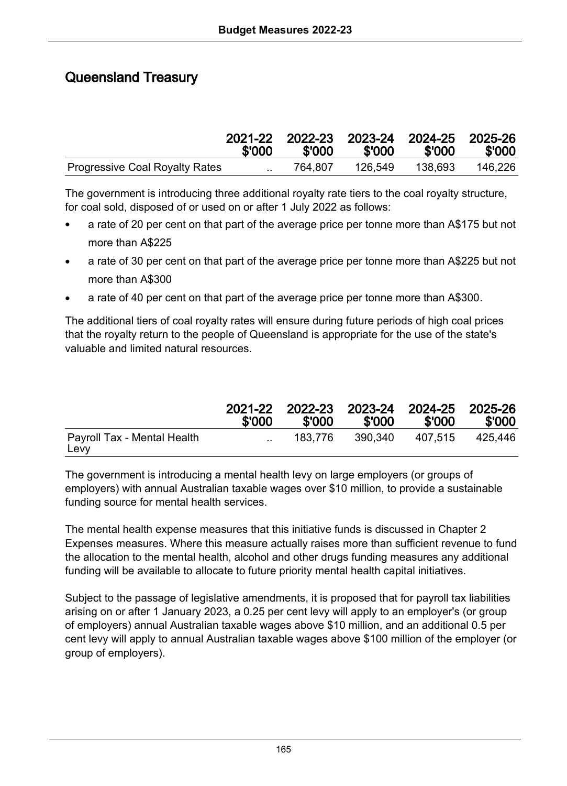# Queensland Treasury

|                                       | \$'000    | \$'000  | \$'000  | 2021-22 2022-23 2023-24 2024-25 2025-26<br>\$'000 | \$'000  |
|---------------------------------------|-----------|---------|---------|---------------------------------------------------|---------|
| <b>Progressive Coal Royalty Rates</b> | $\ddotsc$ | 764.807 | 126.549 | 138.693                                           | 146.226 |

The government is introducing three additional royalty rate tiers to the coal royalty structure, for coal sold, disposed of or used on or after 1 July 2022 as follows:

- a rate of 20 per cent on that part of the average price per tonne more than A\$175 but not more than A\$225
- a rate of 30 per cent on that part of the average price per tonne more than A\$225 but not more than A\$300
- a rate of 40 per cent on that part of the average price per tonne more than A\$300.

The additional tiers of coal royalty rates will ensure during future periods of high coal prices that the royalty return to the people of Queensland is appropriate for the use of the state's valuable and limited natural resources.

|                                     | \$'000 | \$'000  | \$'000  | 2021-22 2022-23 2023-24 2024-25 2025-26<br>\$'000 | \$'000  |
|-------------------------------------|--------|---------|---------|---------------------------------------------------|---------|
| Payroll Tax - Mental Health<br>Levy |        | 183.776 | 390.340 | 407.515                                           | 425.446 |

The government is introducing a mental health levy on large employers (or groups of employers) with annual Australian taxable wages over \$10 million, to provide a sustainable funding source for mental health services.

The mental health expense measures that this initiative funds is discussed in Chapter 2 Expenses measures. Where this measure actually raises more than sufficient revenue to fund the allocation to the mental health, alcohol and other drugs funding measures any additional funding will be available to allocate to future priority mental health capital initiatives.

Subject to the passage of legislative amendments, it is proposed that for payroll tax liabilities arising on or after 1 January 2023, a 0.25 per cent levy will apply to an employer's (or group of employers) annual Australian taxable wages above \$10 million, and an additional 0.5 per cent levy will apply to annual Australian taxable wages above \$100 million of the employer (or group of employers).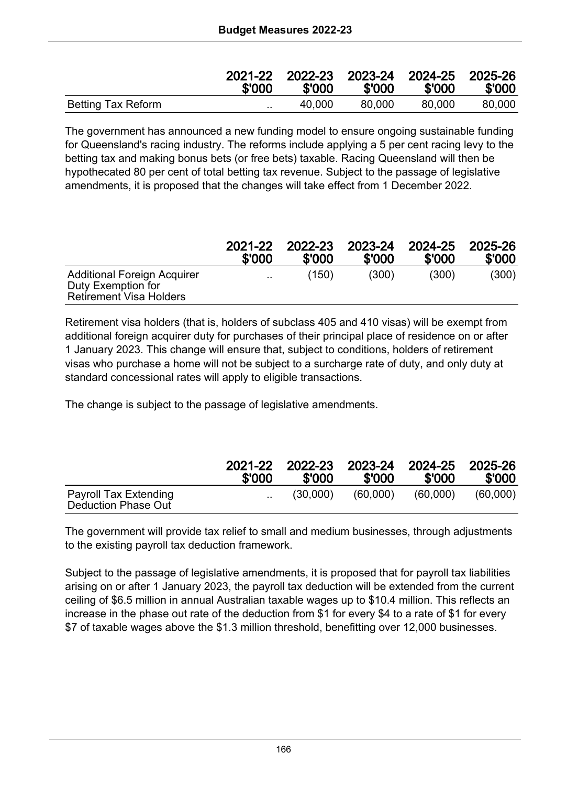|                    | \$'000    | 2021-22 2022-23 2023-24 2024-25 2025-26<br>\$'000 | \$'000 | \$'000 | \$'000 |
|--------------------|-----------|---------------------------------------------------|--------|--------|--------|
| Betting Tax Reform | $\cdot$ . | 40.000                                            | 80.000 | 80.000 | 80.000 |

The government has announced a new funding model to ensure ongoing sustainable funding for Queensland's racing industry. The reforms include applying a 5 per cent racing levy to the betting tax and making bonus bets (or free bets) taxable. Racing Queensland will then be hypothecated 80 per cent of total betting tax revenue. Subject to the passage of legislative amendments, it is proposed that the changes will take effect from 1 December 2022.

|                                                                                     | 2021-22       | 2022-23 | 2023-24 | 2024-25 | 2025-26 |
|-------------------------------------------------------------------------------------|---------------|---------|---------|---------|---------|
|                                                                                     | \$'000        | \$'000  | \$'000  | \$'000  | \$'000  |
| Additional Foreign Acquirer<br>Duty Exemption for<br><b>Retirement Visa Holders</b> | $\sim$ $\sim$ | (150)   | (300)   | (300)   | (300)   |

Retirement visa holders (that is, holders of subclass 405 and 410 visas) will be exempt from additional foreign acquirer duty for purchases of their principal place of residence on or after 1 January 2023. This change will ensure that, subject to conditions, holders of retirement visas who purchase a home will not be subject to a surcharge rate of duty, and only duty at standard concessional rates will apply to eligible transactions.

The change is subject to the passage of legislative amendments.

|                                              | 2021-22<br>\$'000 | 2022-23 2023-24 2024-25 2025-26<br>\$'000 | \$'000   | \$'000   | \$'000   |
|----------------------------------------------|-------------------|-------------------------------------------|----------|----------|----------|
| Payroll Tax Extending<br>Deduction Phase Out | $\cdot$ .         | (30.000)                                  | (60.000) | (60.000) | (60.000) |

The government will provide tax relief to small and medium businesses, through adjustments to the existing payroll tax deduction framework.

Subject to the passage of legislative amendments, it is proposed that for payroll tax liabilities arising on or after 1 January 2023, the payroll tax deduction will be extended from the current ceiling of \$6.5 million in annual Australian taxable wages up to \$10.4 million. This reflects an increase in the phase out rate of the deduction from \$1 for every \$4 to a rate of \$1 for every \$7 of taxable wages above the \$1.3 million threshold, benefitting over 12,000 businesses.